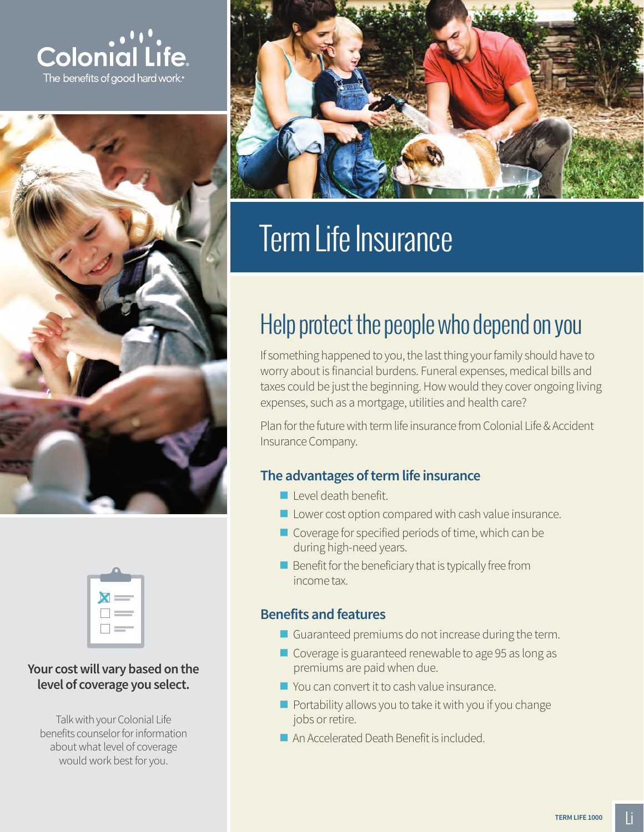





### **Your cost will vary based on the level of coverage you select.**

Talk with your Colonial Life benefits counselor for information about what level of coverage would work best for you.



# Term Life Insurance

## Help protect the people who depend on you

If something happened to you, the last thing your family should have to worry about is financial burdens. Funeral expenses, medical bills and taxes could be just the beginning. How would they cover ongoing living expenses, such as a mortgage, utilities and health care?

Plan for the future with term life insurance from Colonial Life & Accident Insurance Company.

## **The advantages of term life insurance**

- Level death benefit.
- $\blacksquare$  Lower cost option compared with cash value insurance.
- Coverage for specified periods of time, which can be during high-need years.
- $\blacksquare$  Benefit for the beneficiary that is typically free from income tax.

### **Benefits and features**

- Guaranteed premiums do not increase during the term.
- Coverage is guaranteed renewable to age 95 as long as premiums are paid when due.
- You can convert it to cash value insurance.
- $\blacksquare$  Portability allows you to take it with you if you change jobs or retire.
- An Accelerated Death Benefit is included.